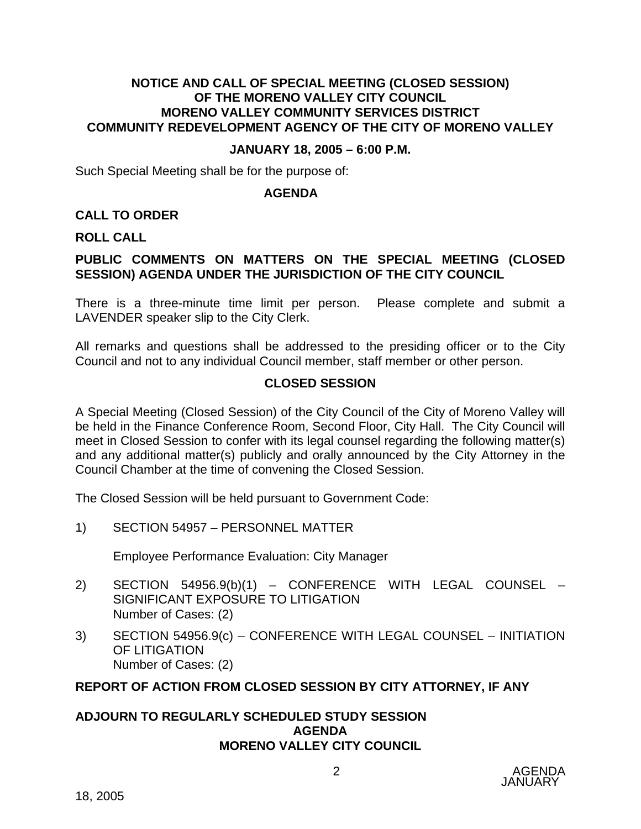### **NOTICE AND CALL OF SPECIAL MEETING (CLOSED SESSION) OF THE MORENO VALLEY CITY COUNCIL MORENO VALLEY COMMUNITY SERVICES DISTRICT COMMUNITY REDEVELOPMENT AGENCY OF THE CITY OF MORENO VALLEY**

### **JANUARY 18, 2005 – 6:00 P.M.**

Such Special Meeting shall be for the purpose of:

#### **AGENDA**

### **CALL TO ORDER**

#### **ROLL CALL**

# **PUBLIC COMMENTS ON MATTERS ON THE SPECIAL MEETING (CLOSED SESSION) AGENDA UNDER THE JURISDICTION OF THE CITY COUNCIL**

There is a three-minute time limit per person. Please complete and submit a LAVENDER speaker slip to the City Clerk.

All remarks and questions shall be addressed to the presiding officer or to the City Council and not to any individual Council member, staff member or other person.

### **CLOSED SESSION**

A Special Meeting (Closed Session) of the City Council of the City of Moreno Valley will be held in the Finance Conference Room, Second Floor, City Hall. The City Council will meet in Closed Session to confer with its legal counsel regarding the following matter(s) and any additional matter(s) publicly and orally announced by the City Attorney in the Council Chamber at the time of convening the Closed Session.

The Closed Session will be held pursuant to Government Code:

1) SECTION 54957 – PERSONNEL MATTER

Employee Performance Evaluation: City Manager

- 2) SECTION 54956.9(b)(1) CONFERENCE WITH LEGAL COUNSEL SIGNIFICANT EXPOSURE TO LITIGATION Number of Cases: (2)
- 3) SECTION 54956.9(c) CONFERENCE WITH LEGAL COUNSEL INITIATION OF LITIGATION Number of Cases: (2)

### **REPORT OF ACTION FROM CLOSED SESSION BY CITY ATTORNEY, IF ANY**

#### **ADJOURN TO REGULARLY SCHEDULED STUDY SESSION AGENDA MORENO VALLEY CITY COUNCIL**

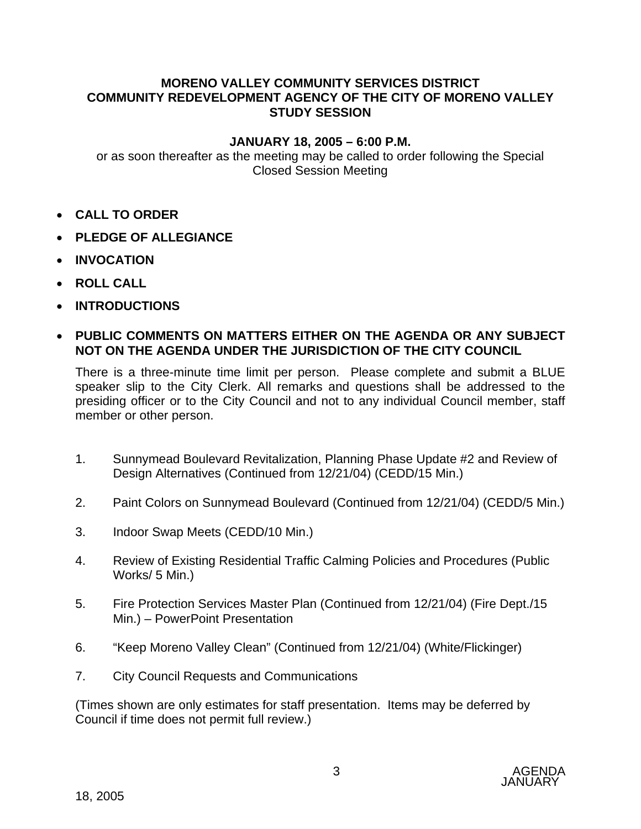# **MORENO VALLEY COMMUNITY SERVICES DISTRICT COMMUNITY REDEVELOPMENT AGENCY OF THE CITY OF MORENO VALLEY STUDY SESSION**

# **JANUARY 18, 2005 – 6:00 P.M.**

or as soon thereafter as the meeting may be called to order following the Special Closed Session Meeting

- **CALL TO ORDER**
- **PLEDGE OF ALLEGIANCE**
- **INVOCATION**
- **ROLL CALL**
- **INTRODUCTIONS**

# • **PUBLIC COMMENTS ON MATTERS EITHER ON THE AGENDA OR ANY SUBJECT NOT ON THE AGENDA UNDER THE JURISDICTION OF THE CITY COUNCIL**

There is a three-minute time limit per person. Please complete and submit a BLUE speaker slip to the City Clerk. All remarks and questions shall be addressed to the presiding officer or to the City Council and not to any individual Council member, staff member or other person.

- 1. Sunnymead Boulevard Revitalization, Planning Phase Update #2 and Review of Design Alternatives (Continued from 12/21/04) (CEDD/15 Min.)
- 2. Paint Colors on Sunnymead Boulevard (Continued from 12/21/04) (CEDD/5 Min.)
- 3. Indoor Swap Meets (CEDD/10 Min.)
- 4. Review of Existing Residential Traffic Calming Policies and Procedures (Public Works/ 5 Min.)
- 5. Fire Protection Services Master Plan (Continued from 12/21/04) (Fire Dept./15 Min.) – PowerPoint Presentation
- 6. "Keep Moreno Valley Clean" (Continued from 12/21/04) (White/Flickinger)
- 7. City Council Requests and Communications

(Times shown are only estimates for staff presentation. Items may be deferred by Council if time does not permit full review.)